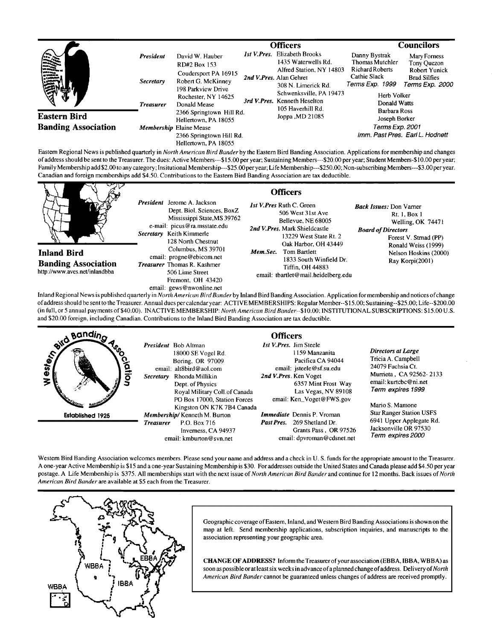|                                                   |                                                   |                                                                                                                                            | <b>Officers</b> |                                                                                                                                                                                                      | <b>Councilors</b>                                                                                                                                                                                                 |                 |
|---------------------------------------------------|---------------------------------------------------|--------------------------------------------------------------------------------------------------------------------------------------------|-----------------|------------------------------------------------------------------------------------------------------------------------------------------------------------------------------------------------------|-------------------------------------------------------------------------------------------------------------------------------------------------------------------------------------------------------------------|-----------------|
|                                                   | <b>President</b><br>Secretary<br><b>Treasurer</b> | David W. Hauber<br>RD#2 Box 153<br>Coudersport PA 16915<br>Robert G. McKinney<br>198 Parkview Drive<br>Rochester, NY 14625<br>Donald Mease |                 | <b>Ist V.Pres.</b> Elizabeth Brooks<br>1435 Waterwells Rd.<br>Alfred Station, NY 14803<br>2nd V.Pres. Alan Gehret<br>308 N. Limerick Rd.<br>Schwenksville, PA 19473<br>3rd V. Pres. Kenneth Heselton | Danny Bystrak<br>Mary Forness<br><b>Thomas Mutchler</b><br>Tony Quezon<br><b>Richard Roberts</b><br><b>Robert Yunick</b><br>Cathie Slack<br><b>Brad Silfies</b><br>Terms Exp. 1999<br>Herb Volker<br>Donald Watts | Terms Exp. 2000 |
| <b>Eastern Bird</b><br><b>Banding Association</b> |                                                   | 2366 Springtown Hill Rd.<br>Hellertown, PA 18055<br><b>Membership Elaine Mease</b><br>2366 Springtown Hill Rd.<br>Hellertown, PA 18055     |                 | 105 Haverhill Rd.<br>Joppa , MD 21085                                                                                                                                                                | Barbara Ross<br>Joseph Borker<br>Terms Exp. 2001<br>Imm. Past Pres. Earl L. Hodnett                                                                                                                               |                 |

**Eastern Regional News is published quarterly in North American Bird Bander by the Eastern Bird Banding Association. Applications for membership and changes**  of address should be sent to the Treasurer. The dues: Active Members---\$15.00 per year; Sustaining Members---\$20.00 per year; Student Members-\$10.00 per year; **Family Membership add \$2.00 to any category; Insitutional Membership---S25.00 peryear; Life Membership---S250.00; Non-subscribing Members---\$3.00peryear. Canadian and foreign memberships add \$4.50. Contributions to the Eastern Bird Banding Association are tax deductible.** 



**Inland Regional News is published quarterly in North American Bird Banderby Inland Bird Banding Association. Application for membership and notices of change of address should be sento the Treasurer. Annual dues per calendar year: ACTIVE MEMBERSHIPS: Regular Member--\$15.00; Sustaining--S25.00; Life--S200.00 (in full, or 5 annual payments of \$40.00). INACTIVE MEMBERSHIP: North American Bird Bander--\$10.00; INSTITUTIONAL SUB SCR IPTIONS: \$15.00 U.S. and \$20.00 foreign, including Canadian. Contributions tothe Inland Bird Banding Association are tax deductible.** 

**.**<br>Bandin<sub>a</sub> **Officers 1st V. Pres. Jim Steele President Bob Airman**  lester<sub>n</sub> **Directors at Large 1159 Manzanita 18000 SE Vogel Rd. Tricia A. Campbell Boring, OR 97009 Pacifica CA 94044 24079 Fuchsia Ct. email: alt8bird@aol.com email: jsteele @sf. su.edu Murrieta, CA 92562- 2133 2nd V. Pres. Ken Voget Secretary Rhonda Millikin**   $\overline{\mathbf{z}}$ **email: kurtcbc @ni.net 6357 Mint Frost Way Dept. of Physics Term expires 1999 Royal Military Coil.of Canada Las Vegas, NV 89108 PO Box 17000, Station Forces email: Ken\_Voget @ FWS.gov Mario S. Mamone Kingston ON K7K 7B4 Canada Star Ranger Station USFS Established 1925 Membership/Kenneth M. Burton**<br>**Treasurer** P.O. Box 716 **Immediate Dennis P. Vroman 6941 Upper Applegate Rd. Past Pres. 269 Shetland Dr. P.O. Box 716 Jacksonville OR 97530 Grants Pass, OR 97526 Invemess, CA 94937 Term expires 2000 email: dpvroman @cdsnet.net email: kmburton@svn.net** 

Western Bird Banding Association welcomes members. Please send your name and address and a check in U.S. funds for the appropriate amount to the Treasurer. **A one-year Active Membership is \$15 and a one-year Sustaining Membership is \$30. For addresses outside the United States and Canada please add \$4.50 per year postage. A Life Membership is \$375. All memberships start with the next issue of North American Bird Banderand continue for 12 months. Back issues of North American Bird Bander are available at \$5 each from the Treasurer.** 



Geographic coverage of Eastern, Inland, and Western Bird Banding Associations is shown on the **map at left. Send membership applications, subscription inquiries, and manuscripts to the**  association representing your geographic area.

**CHANGE OF ADDRESS? Inform the Treasurer of your association (EBBA, IBBA, WB BA) as**  soon as possible or at least six weeks in advance of a planned change of address. Delivery of *North* American Bird Bander cannot be guaranteed unless changes of address are received promptly.